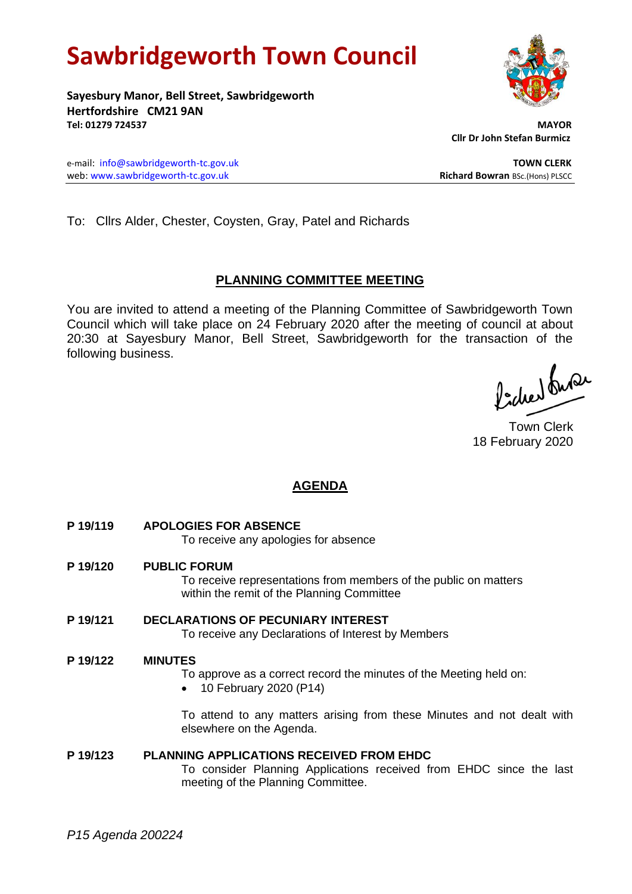# **Sawbridgeworth Town Council**

**Sayesbury Manor, Bell Street, Sawbridgeworth Hertfordshire CM21 9AN Tel: 01279 724537 MAYOR**

 **Cllr Dr John Stefan Burmicz**

e-mail: [info@sawbridgeworth-tc.gov.uk](mailto:info@sawbridgeworth-tc.gov.uk) **TOWN CLERK** web: www.sawbridgeworth-tc.gov.uk<br> **Richard Bowran** BSc.(Hons) PLSCC

To: Cllrs Alder, Chester, Coysten, Gray, Patel and Richards

# **PLANNING COMMITTEE MEETING**

You are invited to attend a meeting of the Planning Committee of Sawbridgeworth Town Council which will take place on 24 February 2020 after the meeting of council at about 20:30 at Sayesbury Manor, Bell Street, Sawbridgeworth for the transaction of the following business.

Picked Suran

Town Clerk 18 February 2020

# **AGENDA**

- **P 19/119 APOLOGIES FOR ABSENCE** To receive any apologies for absence
- **P 19/120 PUBLIC FORUM** To receive representations from members of the public on matters within the remit of the Planning Committee
- **P 19/121 DECLARATIONS OF PECUNIARY INTEREST** To receive any Declarations of Interest by Members

# **P 19/122 MINUTES**

To approve as a correct record the minutes of the Meeting held on:

• 10 February 2020 (P14)

To attend to any matters arising from these Minutes and not dealt with elsewhere on the Agenda.

# **P 19/123 PLANNING APPLICATIONS RECEIVED FROM EHDC**

To consider Planning Applications received from EHDC since the last meeting of the Planning Committee.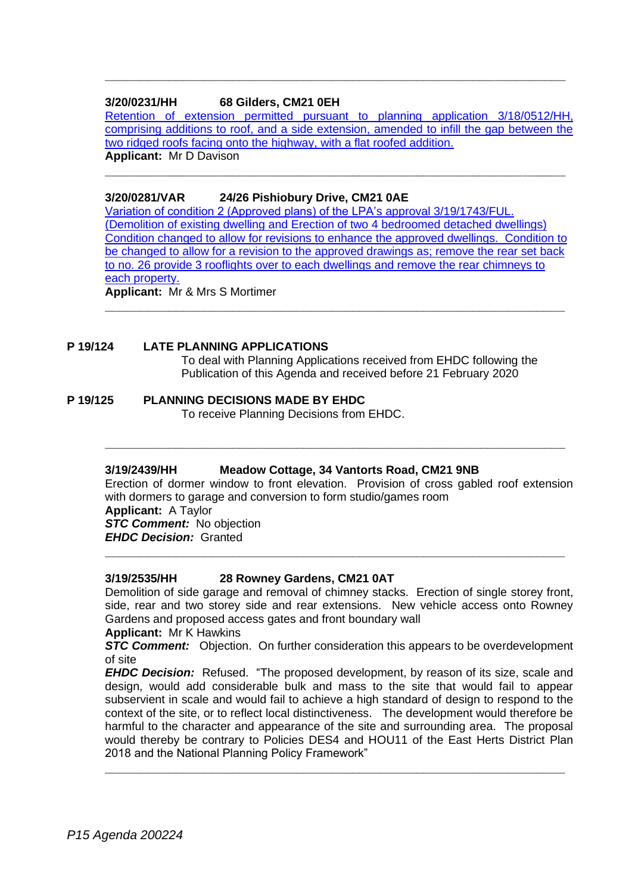## **3/20/0231/HH 68 Gilders, CM21 0EH**

[Retention of extension permitted pursuant to planning application 3/18/0512/HH,](https://publicaccess.eastherts.gov.uk/online-applications/applicationDetails.do?activeTab=documents&keyVal=Q58KJ7GLN2G00)  [comprising additions to roof, and a side extension, amended to infill the gap between the](https://publicaccess.eastherts.gov.uk/online-applications/applicationDetails.do?activeTab=documents&keyVal=Q58KJ7GLN2G00)  [two ridged roofs facing onto the highway, with a flat roofed addition.](https://publicaccess.eastherts.gov.uk/online-applications/applicationDetails.do?activeTab=documents&keyVal=Q58KJ7GLN2G00) **Applicant:** Mr D Davison

**\_\_\_\_\_\_\_\_\_\_\_\_\_\_\_\_\_\_\_\_\_\_\_\_\_\_\_\_\_\_\_\_\_\_\_\_\_\_\_\_\_\_\_\_\_\_\_\_\_\_\_\_\_\_\_\_\_\_\_\_\_\_\_\_\_**

**\_\_\_\_\_\_\_\_\_\_\_\_\_\_\_\_\_\_\_\_\_\_\_\_\_\_\_\_\_\_\_\_\_\_\_\_\_\_\_\_\_\_\_\_\_\_\_\_\_\_\_\_\_\_\_\_\_\_\_\_\_\_\_\_\_**

# **3/20/0281/VAR 24/26 Pishiobury Drive, CM21 0AE**

[Variation of condition 2 \(Approved plans\) of the LPA's approval](https://publicaccess.eastherts.gov.uk/online-applications/applicationDetails.do?activeTab=documents&keyVal=Q5JDGJGLFGA00) 3/19/1743/FUL. [\(Demolition of existing dwelling and Erection of two 4 bedroomed detached dwellings\)](https://publicaccess.eastherts.gov.uk/online-applications/applicationDetails.do?activeTab=documents&keyVal=Q5JDGJGLFGA00)  [Condition changed to allow for revisions to enhance the approved dwellings. Condition to](https://publicaccess.eastherts.gov.uk/online-applications/applicationDetails.do?activeTab=documents&keyVal=Q5JDGJGLFGA00)  [be changed to allow for a revision to the approved drawings as;](https://publicaccess.eastherts.gov.uk/online-applications/applicationDetails.do?activeTab=documents&keyVal=Q5JDGJGLFGA00) remove the rear set back [to no. 26 provide 3 rooflights over to each dwellings and remove the rear chimneys to](https://publicaccess.eastherts.gov.uk/online-applications/applicationDetails.do?activeTab=documents&keyVal=Q5JDGJGLFGA00)  [each property.](https://publicaccess.eastherts.gov.uk/online-applications/applicationDetails.do?activeTab=documents&keyVal=Q5JDGJGLFGA00) **Applicant:** Mr & Mrs S Mortimer

**\_\_\_\_\_\_\_\_\_\_\_\_\_\_\_\_\_\_\_\_\_\_\_\_\_\_\_\_\_\_\_\_\_\_\_\_\_\_\_\_\_\_\_\_\_\_\_\_\_\_\_\_\_\_\_\_\_\_\_\_\_\_\_\_\_**

#### **P 19/124 LATE PLANNING APPLICATIONS**

To deal with Planning Applications received from EHDC following the Publication of this Agenda and received before 21 February 2020

#### **P 19/125 PLANNING DECISIONS MADE BY EHDC**

To receive Planning Decisions from EHDC.

#### **3/19/2439/HH Meadow Cottage, 34 Vantorts Road, CM21 9NB**

Erection of dormer window to front elevation. Provision of cross gabled roof extension with dormers to garage and conversion to form studio/games room

**\_\_\_\_\_\_\_\_\_\_\_\_\_\_\_\_\_\_\_\_\_\_\_\_\_\_\_\_\_\_\_\_\_\_\_\_\_\_\_\_\_\_\_\_\_\_\_\_\_\_\_\_\_\_\_\_\_\_\_\_\_\_\_\_\_**

**Applicant:** A Taylor

*STC Comment:* No objection *EHDC Decision:* Granted

**\_\_\_\_\_\_\_\_\_\_\_\_\_\_\_\_\_\_\_\_\_\_\_\_\_\_\_\_\_\_\_\_\_\_\_\_\_\_\_\_\_\_\_\_\_\_\_\_\_\_\_\_\_\_\_\_\_\_\_\_\_\_\_\_\_**

#### **3/19/2535/HH 28 Rowney Gardens, CM21 0AT**

Demolition of side garage and removal of chimney stacks. Erection of single storey front, side, rear and two storey side and rear extensions. New vehicle access onto Rowney Gardens and proposed access gates and front boundary wall

#### **Applicant:** Mr K Hawkins

*STC Comment:* Objection. On further consideration this appears to be overdevelopment of site

*EHDC Decision:* Refused. "The proposed development, by reason of its size, scale and design, would add considerable bulk and mass to the site that would fail to appear subservient in scale and would fail to achieve a high standard of design to respond to the context of the site, or to reflect local distinctiveness. The development would therefore be harmful to the character and appearance of the site and surrounding area. The proposal would thereby be contrary to Policies DES4 and HOU11 of the East Herts District Plan 2018 and the National Planning Policy Framework"

**\_\_\_\_\_\_\_\_\_\_\_\_\_\_\_\_\_\_\_\_\_\_\_\_\_\_\_\_\_\_\_\_\_\_\_\_\_\_\_\_\_\_\_\_\_\_\_\_\_\_\_\_\_\_\_\_\_\_\_\_\_\_\_\_\_**